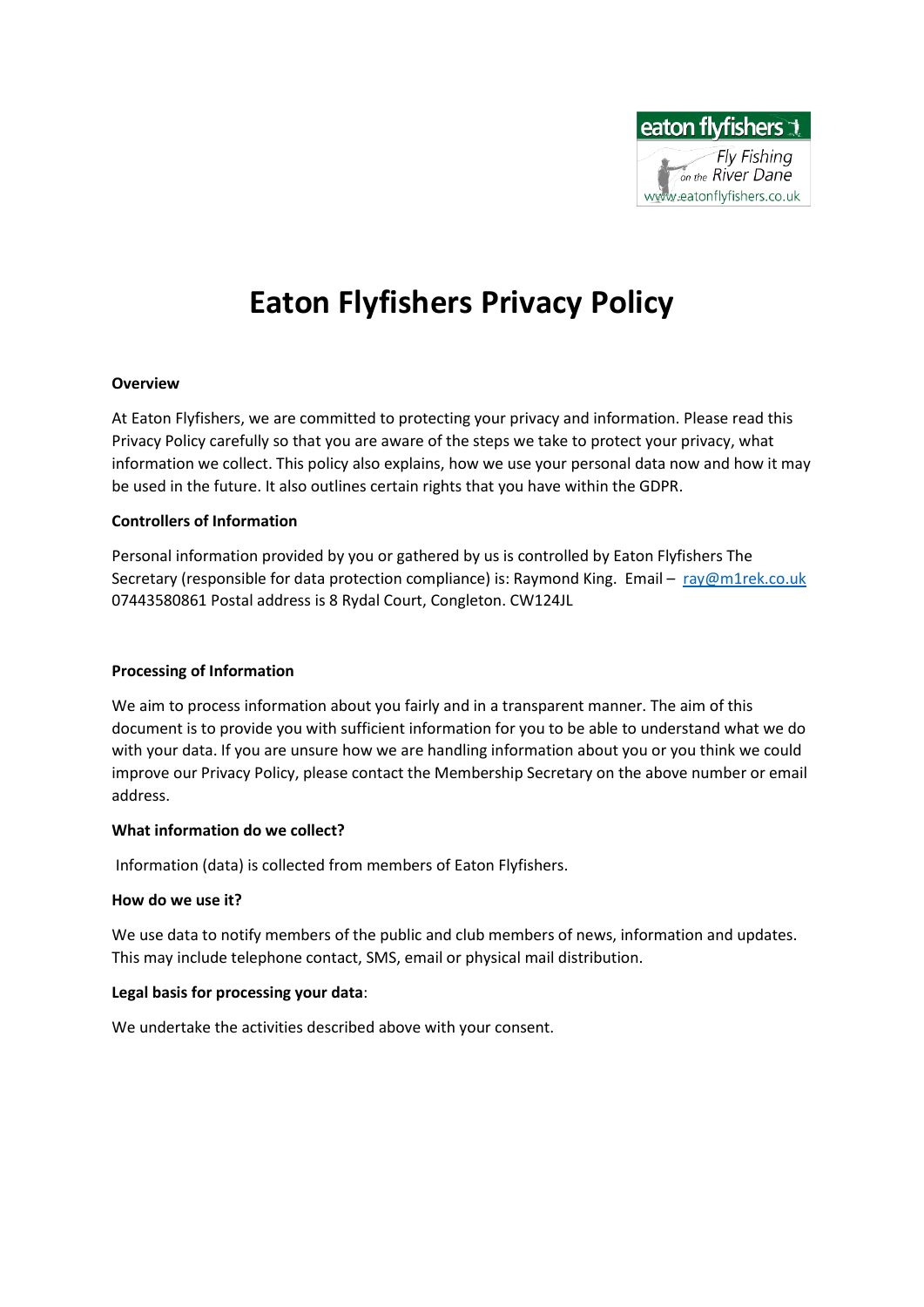

# **Eaton Flyfishers Privacy Policy**

# **Overview**

At Eaton Flyfishers, we are committed to protecting your privacy and information. Please read this Privacy Policy carefully so that you are aware of the steps we take to protect your privacy, what information we collect. This policy also explains, how we use your personal data now and how it may be used in the future. It also outlines certain rights that you have within the GDPR.

# **Controllers of Information**

Personal information provided by you or gathered by us is controlled by Eaton Flyfishers The Secretary (responsible for data protection compliance) is: Raymond King. Email - [ray@m1rek.co.uk](mailto:ray@m1rek.co.uk) 07443580861 Postal address is 8 Rydal Court, Congleton. CW124JL

# **Processing of Information**

We aim to process information about you fairly and in a transparent manner. The aim of this document is to provide you with sufficient information for you to be able to understand what we do with your data. If you are unsure how we are handling information about you or you think we could improve our Privacy Policy, please contact the Membership Secretary on the above number or email address.

# **What information do we collect?**

Information (data) is collected from members of Eaton Flyfishers.

# **How do we use it?**

We use data to notify members of the public and club members of news, information and updates. This may include telephone contact, SMS, email or physical mail distribution.

# **Legal basis for processing your data**:

We undertake the activities described above with your consent.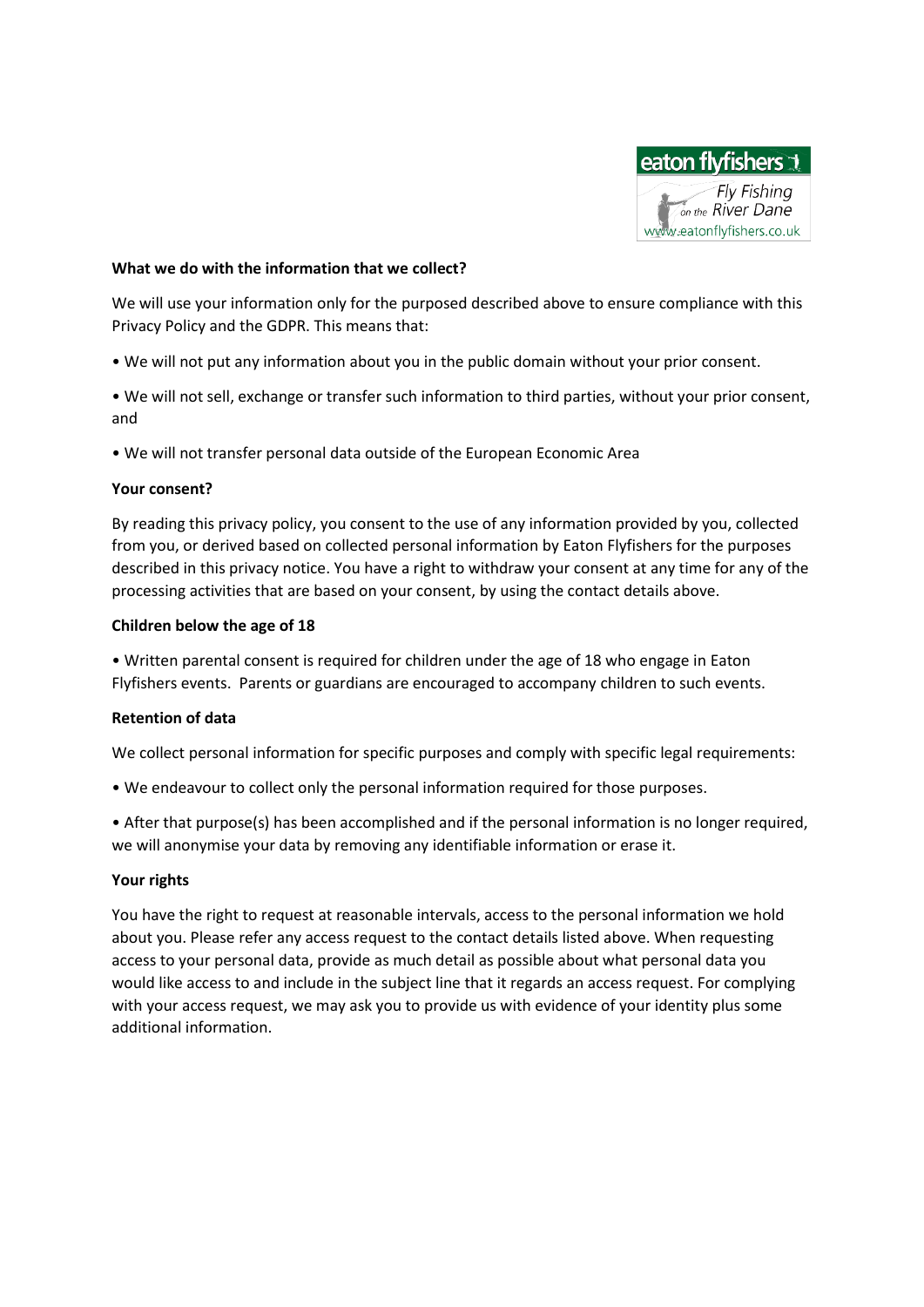

## **What we do with the information that we collect?**

We will use your information only for the purposed described above to ensure compliance with this Privacy Policy and the GDPR. This means that:

- We will not put any information about you in the public domain without your prior consent.
- We will not sell, exchange or transfer such information to third parties, without your prior consent, and
- We will not transfer personal data outside of the European Economic Area

# **Your consent?**

By reading this privacy policy, you consent to the use of any information provided by you, collected from you, or derived based on collected personal information by Eaton Flyfishers for the purposes described in this privacy notice. You have a right to withdraw your consent at any time for any of the processing activities that are based on your consent, by using the contact details above.

#### **Children below the age of 18**

• Written parental consent is required for children under the age of 18 who engage in Eaton Flyfishers events. Parents or guardians are encouraged to accompany children to such events.

# **Retention of data**

We collect personal information for specific purposes and comply with specific legal requirements:

• We endeavour to collect only the personal information required for those purposes.

• After that purpose(s) has been accomplished and if the personal information is no longer required, we will anonymise your data by removing any identifiable information or erase it.

# **Your rights**

You have the right to request at reasonable intervals, access to the personal information we hold about you. Please refer any access request to the contact details listed above. When requesting access to your personal data, provide as much detail as possible about what personal data you would like access to and include in the subject line that it regards an access request. For complying with your access request, we may ask you to provide us with evidence of your identity plus some additional information.